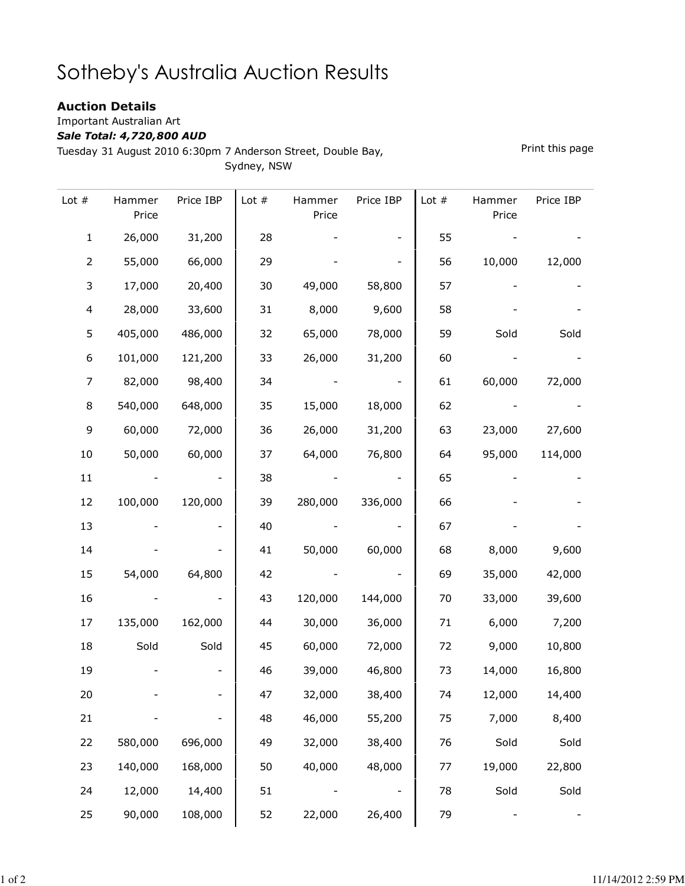## Sotheby's Australia Auction Results

## Auction Details

Important Australian Art

## Sale Total: 4,720,800 AUD

Tuesday 31 August 2010 6:30pm 7 Anderson Street, Double Bay,

Sydney, NSW

Lot # Hammer Price Price IBP Lot # Hammer Price Price IBP Lot # Hammer Price Price IBP 1 26,000 31,200 28 - - 55 - - -2 55,000 66,000 29 - - 56 10,000 12,000 3 17,000 20,400 30 49,000 58,800 57 - - 4 28,000 33,600 31 8,000 9,600 58 - - 5 405,000 486,000 32 65,000 78,000 59 Sold Sold 6 101,000 121,200 33 26,000 31,200 60 - - 7 82,000 98,400 34 - - 61 60,000 72,000 8 540,000 648,000 35 15,000 18,000 62 - - 9 60,000 72,000 36 26,000 31,200 63 23,000 27,600 10 50,000 60,000 37 64,000 76,800 64 95,000 114,000 11 - - 138 - - 65 - -12 100,000 120,000 39 280,000 336,000 66 - - 13 - - 140 - - 167 - - -14 - - 41 50,000 60,000 68 8,000 9,600 15 54,000 64,800 42 - - 69 35,000 42,000 16 - - 43 120,000 144,000 70 33,000 39,600 17 135,000 162,000 44 30,000 36,000 71 6,000 7,200 18 Sold Sold 45 60,000 72,000 72 9,000 10,800 19 - - 46 39,000 46,800 73 14,000 16,800 20 - - 47 32,000 38,400 74 12,000 14,400 21 - - 48 46,000 55,200 75 7,000 8,400 22 580,000 696,000 49 32,000 38,400 76 Sold Sold 23 140,000 168,000 50 40,000 48,000 77 19,000 22,800 24 12,000 14,400 | 51 - - - 1 78 Sold Sold 25 90,000 108,000 52 22,000 26,400 79 - -

Print this page